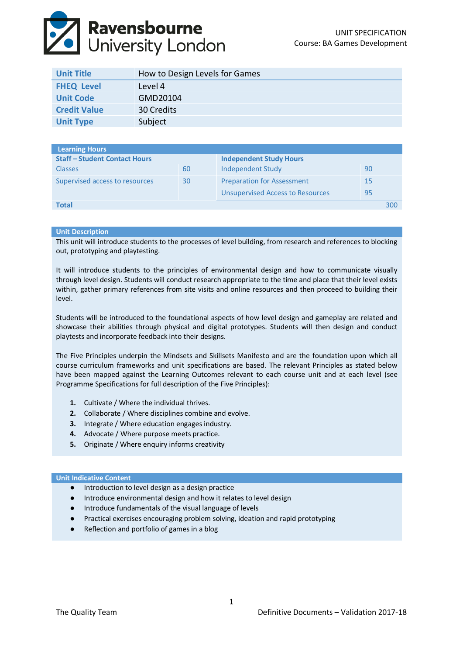# **Ravensbourne**<br>University London

| <b>Unit Title</b>   | How to Design Levels for Games |
|---------------------|--------------------------------|
| <b>FHEQ Level</b>   | Level 4                        |
| <b>Unit Code</b>    | GMD20104                       |
| <b>Credit Value</b> | 30 Credits                     |
| <b>Unit Type</b>    | Subject                        |

| <b>Learning Hours</b>                |    |                                         |    |     |
|--------------------------------------|----|-----------------------------------------|----|-----|
| <b>Staff - Student Contact Hours</b> |    | <b>Independent Study Hours</b>          |    |     |
| <b>Classes</b>                       | 60 | Independent Study                       | 90 |     |
| Supervised access to resources       | 30 | <b>Preparation for Assessment</b>       | 15 |     |
|                                      |    | <b>Unsupervised Access to Resources</b> | 95 |     |
| Total                                |    |                                         |    | 300 |

# **Unit Description**

This unit will introduce students to the processes of level building, from research and references to blocking out, prototyping and playtesting.

It will introduce students to the principles of environmental design and how to communicate visually through level design. Students will conduct research appropriate to the time and place that their level exists within, gather primary references from site visits and online resources and then proceed to building their level.

Students will be introduced to the foundational aspects of how level design and gameplay are related and showcase their abilities through physical and digital prototypes. Students will then design and conduct playtests and incorporate feedback into their designs.

The Five Principles underpin the Mindsets and Skillsets Manifesto and are the foundation upon which all course curriculum frameworks and unit specifications are based. The relevant Principles as stated below have been mapped against the Learning Outcomes relevant to each course unit and at each level (see Programme Specifications for full description of the Five Principles):

- **1.** Cultivate / Where the individual thrives.
- **2.** Collaborate / Where disciplines combine and evolve.
- **3.** Integrate / Where education engages industry.
- **4.** Advocate / Where purpose meets practice.
- **5.** Originate / Where enquiry informs creativity

### **Unit Indicative Content**

- Introduction to level design as a design practice
- Introduce environmental design and how it relates to level design
- Introduce fundamentals of the visual language of levels
- Practical exercises encouraging problem solving, ideation and rapid prototyping
- Reflection and portfolio of games in a blog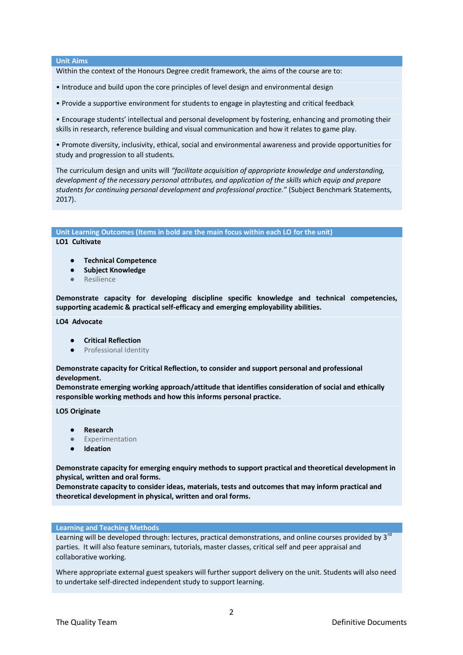# **Unit Aims**

Within the context of the Honours Degree credit framework, the aims of the course are to:

- Introduce and build upon the core principles of level design and environmental design
- Provide a supportive environment for students to engage in playtesting and critical feedback

• Encourage students' intellectual and personal development by fostering, enhancing and promoting their skills in research, reference building and visual communication and how it relates to game play.

• Promote diversity, inclusivity, ethical, social and environmental awareness and provide opportunities for study and progression to all students.

The curriculum design and units will *"facilitate acquisition of appropriate knowledge and understanding, development of the necessary personal attributes, and application of the skills which equip and prepare students for continuing personal development and professional practice."* (Subject Benchmark Statements, 2017).

**Unit Learning Outcomes (Items in bold are the main focus within each LO for the unit)**

# **LO1 Cultivate**

- **Technical Competence**
- **Subject Knowledge**
- Resilience

**Demonstrate capacity for developing discipline specific knowledge and technical competencies, supporting academic & practical self-efficacy and emerging employability abilities.**

# **LO4 Advocate**

- **Critical Reflection**
- Professional Identity

**Demonstrate capacity for Critical Reflection, to consider and support personal and professional development.** 

**Demonstrate emerging working approach/attitude that identifies consideration of social and ethically responsible working methods and how this informs personal practice.**

**LO5 Originate**

- **Research**
- Experimentation
- **Ideation**

**Demonstrate capacity for emerging enquiry methods to support practical and theoretical development in physical, written and oral forms.**

**Demonstrate capacity to consider ideas, materials, tests and outcomes that may inform practical and theoretical development in physical, written and oral forms.**

### **Learning and Teaching Methods**

Learning will be developed through: lectures, practical demonstrations, and online courses provided by 3<sup>rd</sup> parties. It will also feature seminars, tutorials, master classes, critical self and peer appraisal and collaborative working.

Where appropriate external guest speakers will further support delivery on the unit. Students will also need to undertake self‐directed independent study to support learning.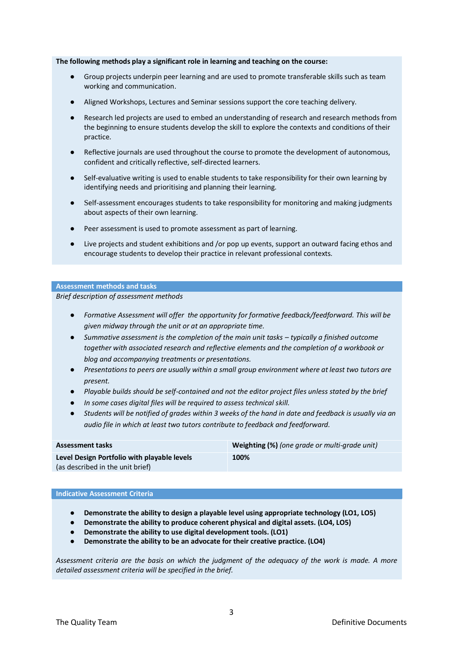# **The following methods play a significant role in learning and teaching on the course:**

- Group projects underpin peer learning and are used to promote transferable skills such as team working and communication.
- Aligned Workshops, Lectures and Seminar sessions support the core teaching delivery.
- Research led projects are used to embed an understanding of research and research methods from the beginning to ensure students develop the skill to explore the contexts and conditions of their practice.
- Reflective journals are used throughout the course to promote the development of autonomous, confident and critically reflective, self‐directed learners.
- Self-evaluative writing is used to enable students to take responsibility for their own learning by identifying needs and prioritising and planning their learning.
- Self-assessment encourages students to take responsibility for monitoring and making judgments about aspects of their own learning.
- Peer assessment is used to promote assessment as part of learning.
- Live projects and student exhibitions and /or pop up events, support an outward facing ethos and encourage students to develop their practice in relevant professional contexts.

### **Assessment methods and tasks**

*Brief description of assessment methods*

- *Formative Assessment will offer the opportunity for formative feedback/feedforward. This will be given midway through the unit or at an appropriate time.*
- *Summative assessment is the completion of the main unit tasks – typically a finished outcome together with associated research and reflective elements and the completion of a workbook or blog and accompanying treatments or presentations.*
- *Presentations to peers are usually within a small group environment where at least two tutors are present.*
- *Playable builds should be self-contained and not the editor project files unless stated by the brief*
- *In some cases digital files will be required to assess technical skill.*
- *Students will be notified of grades within 3 weeks of the hand in date and feedback is usually via an audio file in which at least two tutors contribute to feedback and feedforward.*

| <b>Assessment tasks</b>                     | Weighting (%) (one grade or multi-grade unit) |
|---------------------------------------------|-----------------------------------------------|
| Level Design Portfolio with playable levels | 100%                                          |
| (as described in the unit brief)            |                                               |

# **Indicative Assessment Criteria**

- **Demonstrate the ability to design a playable level using appropriate technology (LO1, LO5)**
- **Demonstrate the ability to produce coherent physical and digital assets. (LO4, LO5)**
- **Demonstrate the ability to use digital development tools. (LO1)**
- **Demonstrate the ability to be an advocate for their creative practice. (LO4)**

*Assessment criteria are the basis on which the judgment of the adequacy of the work is made. A more detailed assessment criteria will be specified in the brief.*